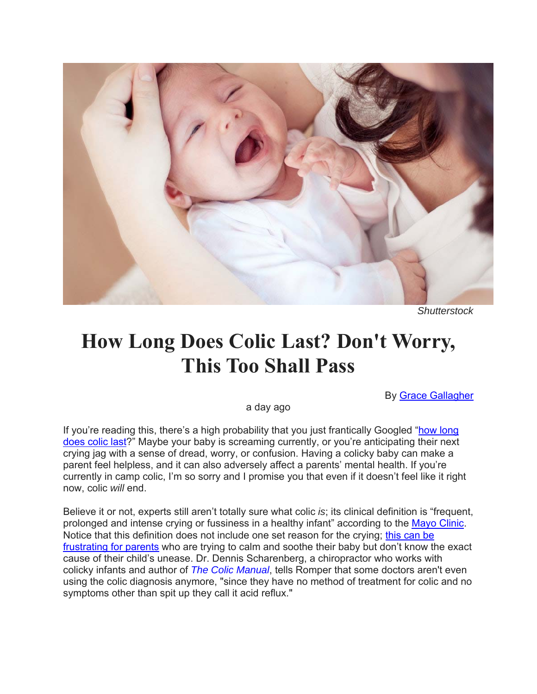

*Shutterstock*

## **How Long Does Colic Last? Don't Worry, This Too Shall Pass**

By Grace Gallagher

a day ago

If you're reading this, there's a high probability that you just frantically Googled "how long does colic last?" Maybe your baby is screaming currently, or you're anticipating their next crying jag with a sense of dread, worry, or confusion. Having a colicky baby can make a parent feel helpless, and it can also adversely affect a parents' mental health. If you're currently in camp colic, I'm so sorry and I promise you that even if it doesn't feel like it right now, colic *will* end.

Believe it or not, experts still aren't totally sure what colic *is*; its clinical definition is "frequent, prolonged and intense crying or fussiness in a healthy infant" according to the Mayo Clinic. Notice that this definition does not include one set reason for the crying; this can be frustrating for parents who are trying to calm and soothe their baby but don't know the exact cause of their child's unease. Dr. Dennis Scharenberg, a chiropractor who works with colicky infants and author of *The Colic Manual*, tells Romper that some doctors aren't even using the colic diagnosis anymore, "since they have no method of treatment for colic and no symptoms other than spit up they call it acid reflux."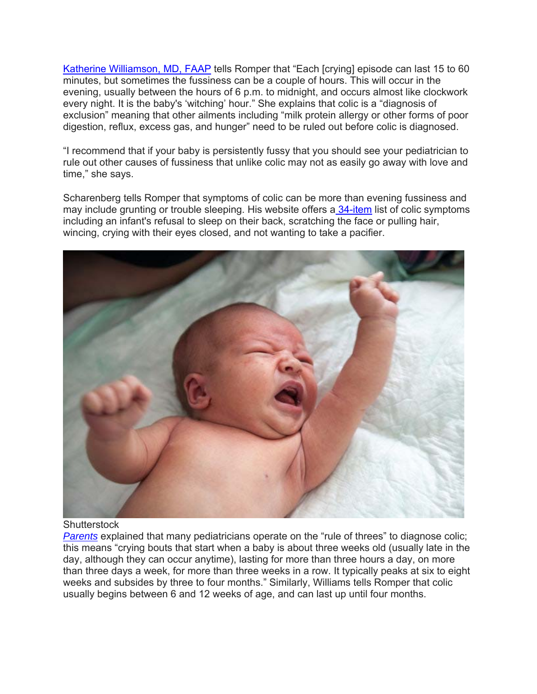Katherine Williamson, MD, FAAP tells Romper that "Each [crying] episode can last 15 to 60 minutes, but sometimes the fussiness can be a couple of hours. This will occur in the evening, usually between the hours of 6 p.m. to midnight, and occurs almost like clockwork every night. It is the baby's 'witching' hour." She explains that colic is a "diagnosis of exclusion" meaning that other ailments including "milk protein allergy or other forms of poor digestion, reflux, excess gas, and hunger" need to be ruled out before colic is diagnosed.

"I recommend that if your baby is persistently fussy that you should see your pediatrician to rule out other causes of fussiness that unlike colic may not as easily go away with love and time," she says.

Scharenberg tells Romper that symptoms of colic can be more than evening fussiness and may include grunting or trouble sleeping. His website offers a 34-item list of colic symptoms including an infant's refusal to sleep on their back, scratching the face or pulling hair, wincing, crying with their eyes closed, and not wanting to take a pacifier.



## **Shutterstock**

*Parents* explained that many pediatricians operate on the "rule of threes" to diagnose colic; this means "crying bouts that start when a baby is about three weeks old (usually late in the day, although they can occur anytime), lasting for more than three hours a day, on more than three days a week, for more than three weeks in a row. It typically peaks at six to eight weeks and subsides by three to four months." Similarly, Williams tells Romper that colic usually begins between 6 and 12 weeks of age, and can last up until four months.